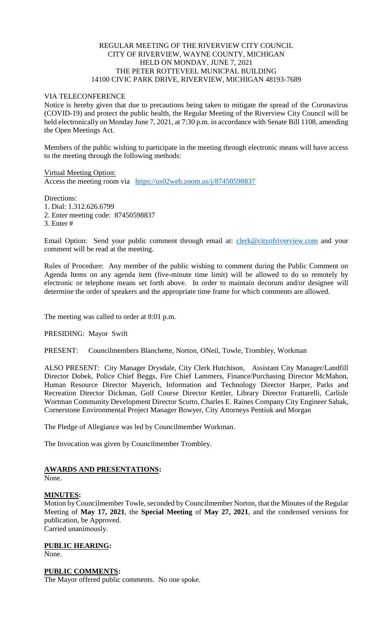## REGULAR MEETING OF THE RIVERVIEW CITY COUNCIL CITY OF RIVERVIEW, WAYNE COUNTY, MICHIGAN HELD ON MONDAY, JUNE 7, 2021 THE PETER ROTTEVEEL MUNICPAL BUILDING 14100 CIVIC PARK DRIVE, RIVERVIEW, MICHIGAN 48193-7689

## VIA TELECONFERENCE

Notice is hereby given that due to precautions being taken to mitigate the spread of the Coronavirus (COVID-19) and protect the public health, the Regular Meeting of the Riverview City Council will be held electronically on Monday June 7, 2021, at 7:30 p.m. in accordance with Senate Bill 1108, amending the Open Meetings Act.

Members of the public wishing to participate in the meeting through electronic means will have access to the meeting through the following methods:

Virtual Meeting Option: Access the meeting room via [https://us02web.zoom.us/j/87450598837](https://www.google.com/url?q=https%3A%2F%2Fus02web.zoom.us%2Fj%2F87450598837&sa=D&ust=1623077269220000&usg=AOvVaw2hOlr4Y-mGJTJFdcMw-IQo)

Directions:

1. Dial: 1.312.626.6799

2. Enter meeting code: 87450598837

3. Enter #

Email Option: Send your public comment through email at: *[clerk@cityofriverview.com](mailto:clerk@cityofriverview.com)* and your comment will be read at the meeting.

Rules of Procedure: Any member of the public wishing to comment during the Public Comment on Agenda Items on any agenda item (five-minute time limit) will be allowed to do so remotely by electronic or telephone means set forth above. In order to maintain decorum and/or designee will determine the order of speakers and the appropriate time frame for which comments are allowed.

The meeting was called to order at 8:01 p.m.

PRESIDING: Mayor Swift

PRESENT: Councilmembers Blanchette, Norton, ONeil, Towle, Trombley, Workman

ALSO PRESENT: City Manager Drysdale, City Clerk Hutchison, Assistant City Manager/Landfill Director Dobek, Police Chief Beggs, Fire Chief Lammers, Finance/Purchasing Director McMahon, Human Resource Director Mayerich, Information and Technology Director Harper, Parks and Recreation Director Dickman, Golf Course Director Kettler, Library Director Frattarelli, Carlisle Wortman Community Development Director Scurto, Charles E. Raines Company City Engineer Sabak, Cornerstone Environmental Project Manager Bowyer, City Attorneys Pentiuk and Morgan

The Pledge of Allegiance was led by Councilmember Workman.

The Invocation was given by Councilmember Trombley.

# **AWARDS AND PRESENTATIONS:**

None.

### **MINUTES:**

Motion by Councilmember Towle, seconded by Councilmember Norton, that the Minutes of the Regular Meeting of **May 17, 2021**, the **Special Meeting** of **May 27, 2021**, and the condensed versions for publication, be Approved. Carried unanimously.

## **PUBLIC HEARING:**

None.

### **PUBLIC COMMENTS:**

The Mayor offered public comments. No one spoke.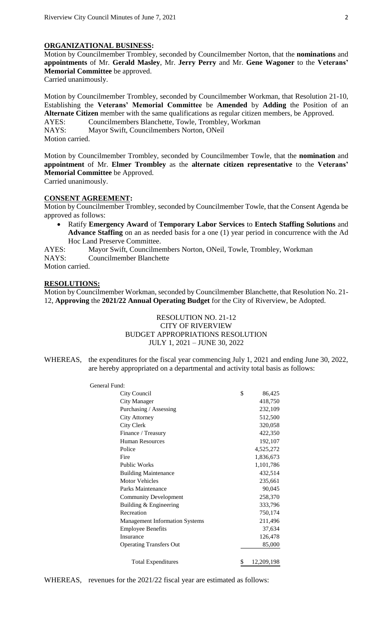# **ORGANIZATIONAL BUSINESS:**

Motion by Councilmember Trombley, seconded by Councilmember Norton, that the **nominations** and **appointments** of Mr. **Gerald Masley**, Mr. **Jerry Perry** and Mr. **Gene Wagoner** to the **Veterans' Memorial Committee** be approved. Carried unanimously.

Motion by Councilmember Trombley, seconded by Councilmember Workman, that Resolution 21-10, Establishing the **Veterans' Memorial Committee** be **Amended** by **Adding** the Position of an **Alternate Citizen** member with the same qualifications as regular citizen members, be Approved. AYES: Councilmembers Blanchette, Towle, Trombley, Workman NAYS: Mayor Swift, Councilmembers Norton, ONeil Motion carried.

Motion by Councilmember Trombley, seconded by Councilmember Towle, that the **nomination** and **appointment** of Mr. **Elmer Trombley** as the **alternate citizen representative** to the **Veterans' Memorial Committee** be Approved. Carried unanimously.

#### **CONSENT AGREEMENT:**

Motion by Councilmember Trombley, seconded by Councilmember Towle, that the Consent Agenda be approved as follows:

- Ratify **Emergency Award** of **Temporary Labor Services** to **Entech Staffing Solutions** and **Advance Staffing** on an as needed basis for a one (1) year period in concurrence with the Ad Hoc Land Preserve Committee.
- AYES: Mayor Swift, Councilmembers Norton, ONeil, Towle, Trombley, Workman

NAYS: Councilmember Blanchette

Motion carried.

### **RESOLUTIONS:**

Motion by Councilmember Workman, seconded by Councilmember Blanchette, that Resolution No. 21- 12, **Approving** the **2021/22 Annual Operating Budget** for the City of Riverview, be Adopted.

# RESOLUTION NO. 21-12 CITY OF RIVERVIEW BUDGET APPROPRIATIONS RESOLUTION JULY 1, 2021 – JUNE 30, 2022

WHEREAS, the expenditures for the fiscal year commencing July 1, 2021 and ending June 30, 2022, are hereby appropriated on a departmental and activity total basis as follows:

| General Fund:                         |                  |
|---------------------------------------|------------------|
| City Council                          | \$<br>86,425     |
| <b>City Manager</b>                   | 418,750          |
| Purchasing / Assessing                | 232,109          |
| City Attorney                         | 512,500          |
| City Clerk                            | 320,058          |
| Finance / Treasury                    | 422,350          |
| <b>Human Resources</b>                | 192,107          |
| Police                                | 4,525,272        |
| Fire                                  | 1,836,673        |
| <b>Public Works</b>                   | 1,101,786        |
| <b>Building Maintenance</b>           | 432,514          |
| <b>Motor Vehicles</b>                 | 235,661          |
| Parks Maintenance                     | 90,045           |
| <b>Community Development</b>          | 258,370          |
| Building & Engineering                | 333,796          |
| Recreation                            | 750,174          |
| <b>Management Information Systems</b> | 211,496          |
| <b>Employee Benefits</b>              | 37,634           |
| Insurance                             | 126,478          |
| <b>Operating Transfers Out</b>        | 85,000           |
| <b>Total Expenditures</b>             | \$<br>12,209,198 |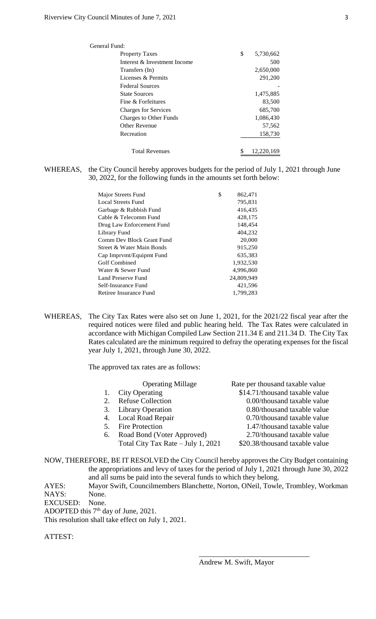| General Fund:                 |                 |
|-------------------------------|-----------------|
| <b>Property Taxes</b>         | \$<br>5,730,662 |
| Interest & Investment Income  | 500             |
| Transfers (In)                | 2,650,000       |
| Licenses & Permits            | 291,200         |
| <b>Federal Sources</b>        |                 |
| <b>State Sources</b>          | 1,475,885       |
| Fine & Forfeitures            | 83,500          |
| <b>Charges for Services</b>   | 685,700         |
| <b>Charges to Other Funds</b> | 1,086,430       |
| Other Revenue                 | 57,562          |
| Recreation                    | 158,730         |
| <b>Total Revenues</b>         | 12,220,169      |

### WHEREAS, the City Council hereby approves budgets for the period of July 1, 2021 through June 30, 2022, for the following funds in the amounts set forth below:

| Major Streets Fund        | \$<br>862,471 |
|---------------------------|---------------|
| Local Streets Fund        | 795,831       |
| Garbage & Rubbish Fund    | 416,435       |
| Cable & Telecomm Fund     | 428,175       |
| Drug Law Enforcement Fund | 148,454       |
| Library Fund              | 404,232       |
| Comm Dev Block Grant Fund | 20,000        |
| Street & Water Main Bonds | 915,250       |
| Cap Imprvmt/Equipmt Fund  | 635,383       |
| Golf Combined             | 1,932,530     |
| Water & Sewer Fund        | 4.996.860     |
| Land Preserve Fund        | 24,809,949    |
| Self-Insurance Fund       | 421,596       |
| Retiree Insurance Fund    | 1,799,283     |
|                           |               |

WHEREAS, The City Tax Rates were also set on June 1, 2021, for the 2021/22 fiscal year after the required notices were filed and public hearing held. The Tax Rates were calculated in accordance with Michigan Compiled Law Section 211.34 E and 211.34 D. The City Tax Rates calculated are the minimum required to defray the operating expenses for the fiscal year July 1, 2021, through June 30, 2022.

The approved tax rates are as follows:

|    | <b>Operating Millage</b>           | Rate per thousand taxable value |
|----|------------------------------------|---------------------------------|
|    | <b>City Operating</b>              | \$14.71/thousand taxable value  |
|    | <b>Refuse Collection</b>           | 0.00/thousand taxable value     |
| 3. | <b>Library Operation</b>           | 0.80/thousand taxable value     |
|    | 4. Local Road Repair               | 0.70/thousand taxable value     |
| 5. | <b>Fire Protection</b>             | 1.47/thousand taxable value     |
| 6. | Road Bond (Voter Approved)         | 2.70/thousand taxable value     |
|    | Total City Tax Rate - July 1, 2021 | \$20.38/thousand taxable value  |
|    |                                    |                                 |

NOW, THEREFORE, BE IT RESOLVED the City Council hereby approves the City Budget containing the appropriations and levy of taxes for the period of July 1, 2021 through June 30, 2022 and all sums be paid into the several funds to which they belong.

AYES: Mayor Swift, Councilmembers Blanchette, Norton, ONeil, Towle, Trombley, Workman NAYS: None.

EXCUSED: None.

ADOPTED this 7<sup>th</sup> day of June, 2021.

This resolution shall take effect on July 1, 2021.

ATTEST:

\_\_\_\_\_\_\_\_\_\_\_\_\_\_\_\_\_\_\_\_\_\_\_\_\_\_\_\_\_\_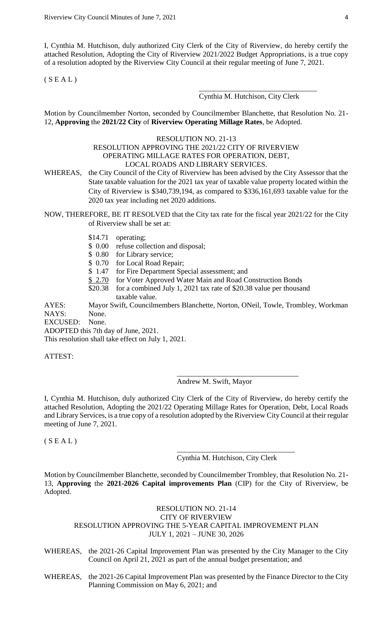I, Cynthia M. Hutchison, duly authorized City Clerk of the City of Riverview, do hereby certify the attached Resolution, Adopting the City of Riverview 2021/2022 Budget Appropriations, is a true copy of a resolution adopted by the Riverview City Council at their regular meeting of June 7, 2021.

 $(S E A L)$ 

### Cynthia M. Hutchison, City Clerk

\_\_\_\_\_\_\_\_\_\_\_\_\_\_\_\_\_\_\_\_\_\_\_\_\_\_\_\_\_\_\_\_

Motion by Councilmember Norton, seconded by Councilmember Blanchette, that Resolution No. 21- 12, **Approving** the **2021/22 City** of **Riverview Operating Millage Rates**, be Adopted.

### RESOLUTION NO. 21-13 RESOLUTION APPROVING THE 2021/22 CITY OF RIVERVIEW OPERATING MILLAGE RATES FOR OPERATION, DEBT, LOCAL ROADS AND LIBRARY SERVICES.

WHEREAS, the City Council of the City of Riverview has been advised by the City Assessor that the State taxable valuation for the 2021 tax year of taxable value property located within the City of Riverview is \$340,739,194, as compared to \$336,161,693 taxable value for the 2020 tax year including net 2020 additions.

NOW, THEREFORE, BE IT RESOLVED that the City tax rate for the fiscal year 2021/22 for the City of Riverview shall be set at:

- \$14.71 operating;
- \$ 0.00 refuse collection and disposal;
- \$ 0.80 for Library service;
- \$ 0.70 for Local Road Repair;
- \$ 1.47 for Fire Department Special assessment; and
- \$ 2.70 for Voter Approved Water Main and Road Construction Bonds
	- \$20.38 for a combined July 1, 2021 tax rate of \$20.38 value per thousand taxable value.

AYES: Mayor Swift, Councilmembers Blanchette, Norton, ONeil, Towle, Trombley, Workman NAYS: None.

EXCUSED: None.

ADOPTED this 7th day of June, 2021.

This resolution shall take effect on July 1, 2021.

ATTEST:

Andrew M. Swift, Mayor

\_\_\_\_\_\_\_\_\_\_\_\_\_\_\_\_\_\_\_\_\_\_\_\_\_\_\_\_\_\_\_\_\_

I, Cynthia M. Hutchison, duly authorized City Clerk of the City of Riverview, do hereby certify the attached Resolution, Adopting the 2021/22 Operating Millage Rates for Operation, Debt, Local Roads and Library Services, is a true copy of a resolution adopted by the Riverview City Council at their regular meeting of June 7, 2021.

 $(S E A L)$ 

Cynthia M. Hutchison, City Clerk

\_\_\_\_\_\_\_\_\_\_\_\_\_\_\_\_\_\_\_\_\_\_\_\_\_\_\_\_\_\_\_\_

Motion by Councilmember Blanchette, seconded by Councilmember Trombley, that Resolution No. 21- 13, **Approving** the **2021-2026 Capital improvements Plan** (CIP) for the City of Riverview, be Adopted.

# RESOLUTION NO. 21-14 CITY OF RIVERVIEW RESOLUTION APPROVING THE 5-YEAR CAPITAL IMPROVEMENT PLAN JULY 1, 2021 – JUNE 30, 2026

WHEREAS, the 2021-26 Capital Improvement Plan was presented by the City Manager to the City Council on April 21, 2021 as part of the annual budget presentation; and

WHEREAS, the 2021-26 Capital Improvement Plan was presented by the Finance Director to the City Planning Commission on May 6, 2021; and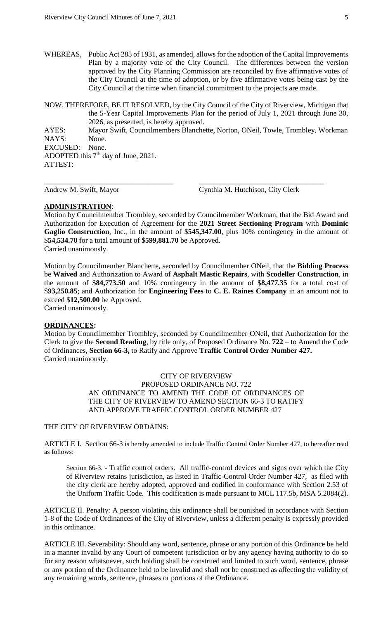WHEREAS, Public Act 285 of 1931, as amended, allows for the adoption of the Capital Improvements Plan by a majority vote of the City Council. The differences between the version approved by the City Planning Commission are reconciled by five affirmative votes of the City Council at the time of adoption, or by five affirmative votes being cast by the City Council at the time when financial commitment to the projects are made.

NOW, THEREFORE, BE IT RESOLVED, by the City Council of the City of Riverview, Michigan that the 5-Year Capital Improvements Plan for the period of July 1, 2021 through June 30, 2026, as presented, is hereby approved. AYES: Mayor Swift, Councilmembers Blanchette, Norton, ONeil, Towle, Trombley, Workman NAYS: None.<br>EXCUSED: None. EXCUSED: ADOPTED this 7<sup>th</sup> day of June, 2021. ATTEST:

\_\_\_\_\_\_\_\_\_\_\_\_\_\_\_\_\_\_\_\_\_\_\_\_\_\_\_\_\_\_\_\_\_\_\_ \_\_\_\_\_\_\_\_\_\_\_\_\_\_\_\_\_\_\_\_\_\_\_\_\_\_\_\_\_\_\_\_\_\_

Andrew M. Swift, Mayor Cynthia M. Hutchison, City Clerk

### **ADMINISTRATION**:

Motion by Councilmember Trombley, seconded by Councilmember Workman, that the Bid Award and Authorization for Execution of Agreement for the **2021 Street Sectioning Program** with **Dominic Gaglio Construction**, Inc., in the amount of \$**545,347.00**, plus 10% contingency in the amount of \$**54,534.70** for a total amount of \$**599,881.70** be Approved. Carried unanimously.

Motion by Councilmember Blanchette, seconded by Councilmember ONeil, that the **Bidding Process**  be **Waived** and Authorization to Award of **Asphalt Mastic Repairs**, with **Scodeller Construction**, in the amount of \$**84,773.50** and 10% contingency in the amount of \$**8,477.35** for a total cost of \$**93,250.85**; and Authorization for **Engineering Fees** to **C. E. Raines Company** in an amount not to exceed \$**12,500.00** be Approved.

Carried unanimously.

### **ORDINANCES:**

Motion by Councilmember Trombley, seconded by Councilmember ONeil, that Authorization for the Clerk to give the **Second Reading**, by title only, of Proposed Ordinance No. **722** – to Amend the Code of Ordinances, **Section 66-3,** to Ratify and Approve **Traffic Control Order Number 427.** Carried unanimously.

> CITY OF RIVERVIEW PROPOSED ORDINANCE NO. 722 AN ORDINANCE TO AMEND THE CODE OF ORDINANCES OF THE CITY OF RIVERVIEW TO AMEND SECTION 66-3 TO RATIFY AND APPROVE TRAFFIC CONTROL ORDER NUMBER 427

#### THE CITY OF RIVERVIEW ORDAINS:

ARTICLE I. Section 66-3 is hereby amended to include Traffic Control Order Number 427, to hereafter read as follows:

Section 66-3. - Traffic control orders. All traffic-control devices and signs over which the City of Riverview retains jurisdiction, as listed in Traffic-Control Order Number 427, as filed with the city clerk are hereby adopted, approved and codified in conformance with Section 2.53 of the Uniform Traffic Code. This codification is made pursuant to MCL 117.5b, MSA 5.2084(2).

ARTICLE II. Penalty: A person violating this ordinance shall be punished in accordance with Section 1-8 of the Code of Ordinances of the City of Riverview, unless a different penalty is expressly provided in this ordinance.

ARTICLE III. Severability: Should any word, sentence, phrase or any portion of this Ordinance be held in a manner invalid by any Court of competent jurisdiction or by any agency having authority to do so for any reason whatsoever, such holding shall be construed and limited to such word, sentence, phrase or any portion of the Ordinance held to be invalid and shall not be construed as affecting the validity of any remaining words, sentence, phrases or portions of the Ordinance.